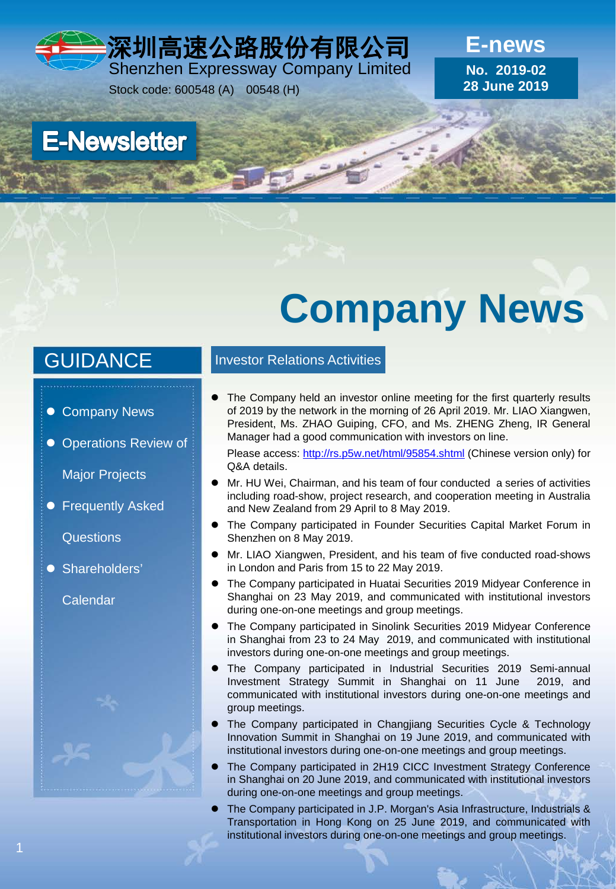深圳高速公路股份有限公司 Shenzhen Expressway Company Limited

Stock code: 600548 (A) 00548 (H)

**E-news No. 2019-02 28 June 2019**

**E-Newsletter** 

# **Company News**

### **GUIDANCE**

- Company News
- **Operations Review of**

Major Projects

**• Frequently Asked** 

**Questions** 

**Shareholders'** 

**Calendar** 

### Investor Relations Activities

 The Company held an investor online meeting for the first quarterly results of 2019 by the network in the morning of 26 April 2019. Mr. LIAO Xiangwen, President, Ms. ZHAO Guiping, CFO, and Ms. ZHENG Zheng, IR General Manager had a good communication with investors on line.

Please access: <http://rs.p5w.net/html/95854.shtml> (Chinese version only) for Q&A details.

- Mr. HU Wei, Chairman, and his team of four conducted a series of activities including road-show, project research, and cooperation meeting in Australia and New Zealand from 29 April to 8 May 2019.
- The Company participated in Founder Securities Capital Market Forum in Shenzhen on 8 May 2019.
- Mr. LIAO Xiangwen, President, and his team of five conducted road-shows in London and Paris from 15 to 22 May 2019.
- The Company participated in Huatai Securities 2019 Midyear Conference in Shanghai on 23 May 2019, and communicated with institutional investors during one-on-one meetings and group meetings.
- The Company participated in Sinolink Securities 2019 Midyear Conference in Shanghai from 23 to 24 May 2019, and communicated with institutional investors during one-on-one meetings and group meetings.
- The Company participated in Industrial Securities 2019 Semi-annual Investment Strategy Summit in Shanghai on 11 June 2019, and communicated with institutional investors during one-on-one meetings and group meetings.
- The Company participated in Changjiang Securities Cycle & Technology Innovation Summit in Shanghai on 19 June 2019, and communicated with institutional investors during one-on-one meetings and group meetings.
- The Company participated in 2H19 CICC Investment Strategy Conference in Shanghai on 20 June 2019, and communicated with institutional investors during one-on-one meetings and group meetings.
- The Company participated in J.P. Morgan's Asia Infrastructure, Industrials & Transportation in Hong Kong on 25 June 2019, and communicated with institutional investors during one-on-one meetings and group meetings.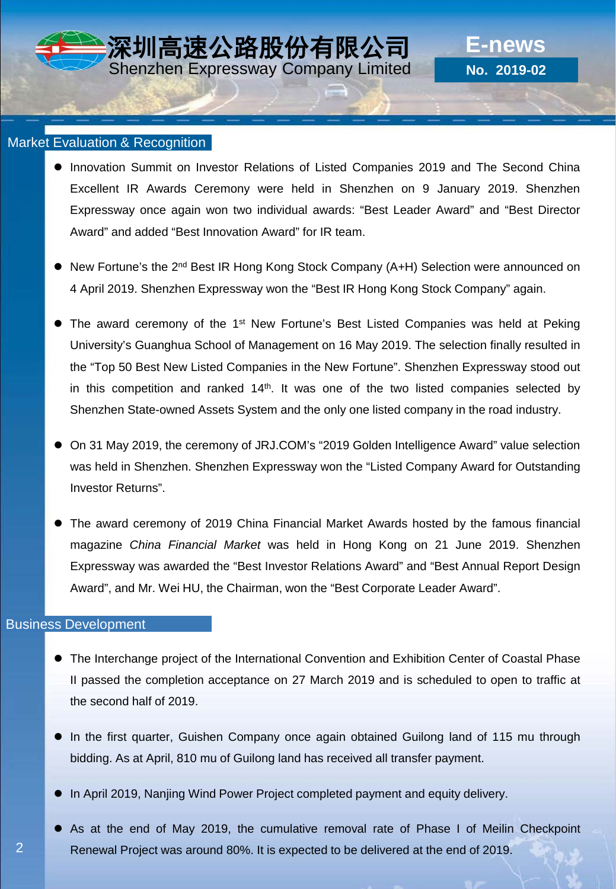### Market Evaluation & Recognition

- **Innovation Summit on Investor Relations of Listed Companies 2019 and The Second China** Excellent IR Awards Ceremony were held in Shenzhen on 9 January 2019. Shenzhen Expressway once again won two individual awards: "Best Leader Award" and "Best Director Award" and added "Best Innovation Award" for IR team.
- New Fortune's the 2<sup>nd</sup> Best IR Hong Kong Stock Company (A+H) Selection were announced on 4 April 2019. Shenzhen Expressway won the "Best IR Hong Kong Stock Company" again.
- The award ceremony of the 1<sup>st</sup> New Fortune's Best Listed Companies was held at Peking University's Guanghua School of Management on 16 May 2019. The selection finally resulted in the "Top 50 Best New Listed Companies in the New Fortune". Shenzhen Expressway stood out in this competition and ranked  $14<sup>th</sup>$ . It was one of the two listed companies selected by Shenzhen State-owned Assets System and the only one listed company in the road industry.
- On 31 May 2019, the ceremony of JRJ.COM's "2019 Golden Intelligence Award" value selection was held in Shenzhen. Shenzhen Expressway won the "Listed Company Award for Outstanding Investor Returns".
- The award ceremony of 2019 China Financial Market Awards hosted by the famous financial magazine *China Financial Market* was held in Hong Kong on 21 June 2019. Shenzhen Expressway was awarded the "Best Investor Relations Award" and "Best Annual Report Design Award", and Mr. Wei HU, the Chairman, won the "Best Corporate Leader Award".

### Business Development

- The Interchange project of the International Convention and Exhibition Center of Coastal Phase II passed the completion acceptance on 27 March 2019 and is scheduled to open to traffic at the second half of 2019.
- In the first quarter, Guishen Company once again obtained Guilong land of 115 mu through bidding. As at April, 810 mu of Guilong land has received all transfer payment.
- In April 2019, Nanjing Wind Power Project completed payment and equity delivery.
- As at the end of May 2019, the cumulative removal rate of Phase I of Meilin Checkpoint Renewal Project was around 80%. It is expected to be delivered at the end of 2019.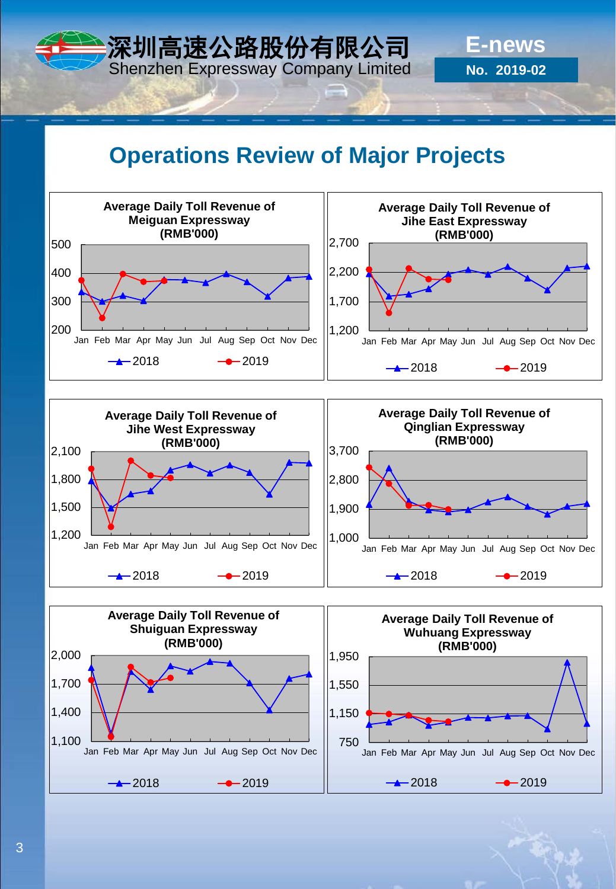## **Operations Review of Major Projects**

**E-news**

**No. 2019-02**

深圳高速公路股份有限公司 Shenzhen Expressway Company Limited



3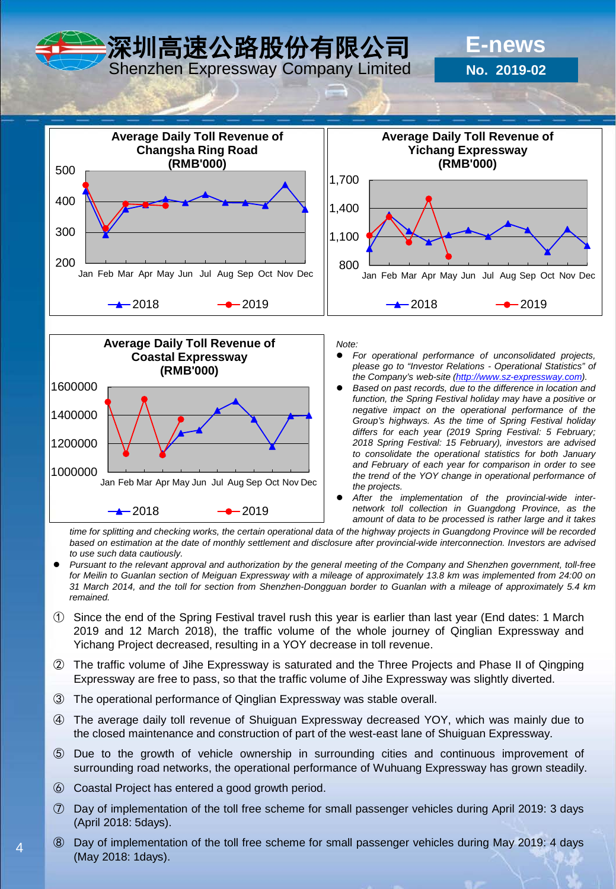深圳高速公路股份有限公司

Shenzhen Expressway Company Limited

**No. 2019-02**

**E-news**





*Note:*

- *For operational performance of unconsolidated projects, please go to "Investor Relations - Operational Statistics" of the Company's web-site ([http://www.sz-expressway.com](http://www.sz-expressway.com/)).*
- *Based on past records, due to the difference in location and function, the Spring Festival holiday may have a positive or negative impact on the operational performance of the Group's highways. As the time of Spring Festival holiday differs for each year (2019 Spring Festival: 5 February; 2018 Spring Festival: 15 February), investors are advised to consolidate the operational statistics for both January and February of each year for comparison in order to see the trend of the YOY change in operational performance of the projects.*
- *After the implementation of the provincial-wide internetwork toll collection in Guangdong Province, as the amount of data to be processed is rather large and it takes*

time for splitting and checking works, the certain operational data of the highway projects in Guangdong Province will be recorded based on estimation at the date of monthly settlement and disclosure after provincial-wide interconnection. Investors are advised *to use such data cautiously.*

- Pursuant to the relevant approval and authorization by the general meeting of the Company and Shenzhen government, toll-free for Meilin to Guanlan section of Meiguan Expressway with a mileage of approximately 13.8 km was implemented from 24:00 on 31 March 2014, and the toll for section from Shenzhen-Dongguan border to Guanlan with a mileage of approximately 5.4 km *remained.*
- ① Since the end of the Spring Festival travel rush this year is earlier than last year (End dates: 1 March 2019 and 12 March 2018), the traffic volume of the whole journey of Qinglian Expressway and Yichang Project decreased, resulting in a YOY decrease in toll revenue.
- ② The traffic volume of Jihe Expressway is saturated and the Three Projects and Phase II of Qingping Expressway are free to pass, so that the traffic volume of Jihe Expressway was slightly diverted.
- ③ The operational performance of Qinglian Expressway was stable overall.
- ④ The average daily toll revenue of Shuiguan Expressway decreased YOY, which was mainly due to the closed maintenance and construction of part of the west-east lane of Shuiguan Expressway.
- ⑤ Due to the growth of vehicle ownership in surrounding cities and continuous improvement of surrounding road networks, the operational performance of Wuhuang Expressway has grown steadily.
- ⑥ Coastal Project has entered a good growth period.

4

- ⑦ Day of implementation of the toll free scheme for small passenger vehicles during April 2019: 3 days (April 2018: 5days).
- ⑧ Day of implementation of the toll free scheme for small passenger vehicles during May 2019: 4 days (May 2018: 1days).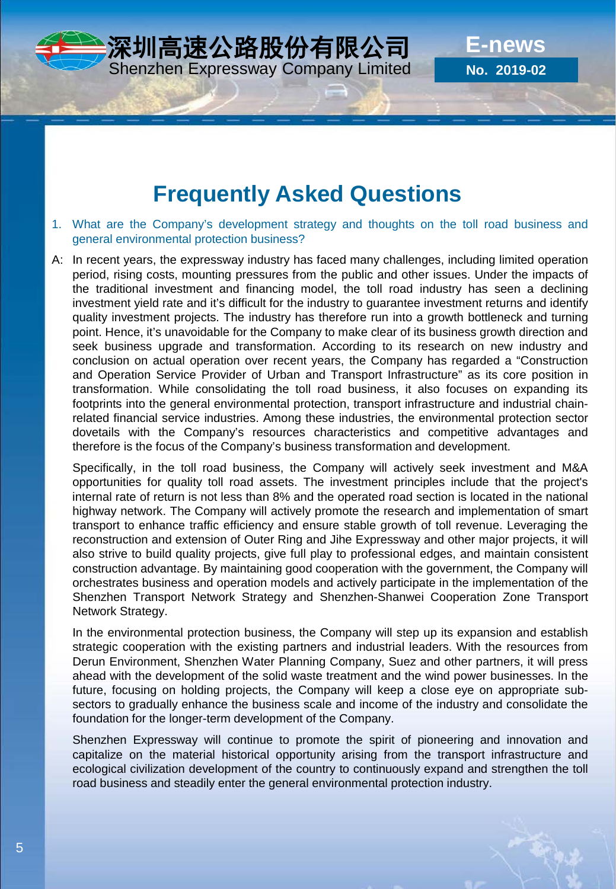### **Frequently Asked Questions**

- 1. What are the Company's development strategy and thoughts on the toll road business and general environmental protection business?
- A: In recent years, the expressway industry has faced many challenges, including limited operation period, rising costs, mounting pressures from the public and other issues. Under the impacts of the traditional investment and financing model, the toll road industry has seen a declining investment yield rate and it's difficult for the industry to guarantee investment returns and identify quality investment projects. The industry has therefore run into a growth bottleneck and turning point. Hence, it's unavoidable for the Company to make clear of its business growth direction and seek business upgrade and transformation. According to its research on new industry and conclusion on actual operation over recent years, the Company has regarded a "Construction and Operation Service Provider of Urban and Transport Infrastructure" as its core position in transformation. While consolidating the toll road business, it also focuses on expanding its footprints into the general environmental protection, transport infrastructure and industrial chainrelated financial service industries. Among these industries, the environmental protection sector dovetails with the Company's resources characteristics and competitive advantages and therefore is the focus of the Company's business transformation and development.

Specifically, in the toll road business, the Company will actively seek investment and M&A opportunities for quality toll road assets. The investment principles include that the project's internal rate of return is not less than 8% and the operated road section is located in the national highway network. The Company will actively promote the research and implementation of smart transport to enhance traffic efficiency and ensure stable growth of toll revenue. Leveraging the reconstruction and extension of Outer Ring and Jihe Expressway and other major projects, it will also strive to build quality projects, give full play to professional edges, and maintain consistent construction advantage. By maintaining good cooperation with the government, the Company will orchestrates business and operation models and actively participate in the implementation of the Shenzhen Transport Network Strategy and Shenzhen-Shanwei Cooperation Zone Transport Network Strategy.

In the environmental protection business, the Company will step up its expansion and establish strategic cooperation with the existing partners and industrial leaders. With the resources from Derun Environment, Shenzhen Water Planning Company, Suez and other partners, it will press ahead with the development of the solid waste treatment and the wind power businesses. In the future, focusing on holding projects, the Company will keep a close eye on appropriate subsectors to gradually enhance the business scale and income of the industry and consolidate the foundation for the longer-term development of the Company.

Shenzhen Expressway will continue to promote the spirit of pioneering and innovation and capitalize on the material historical opportunity arising from the transport infrastructure and ecological civilization development of the country to continuously expand and strengthen the toll road business and steadily enter the general environmental protection industry.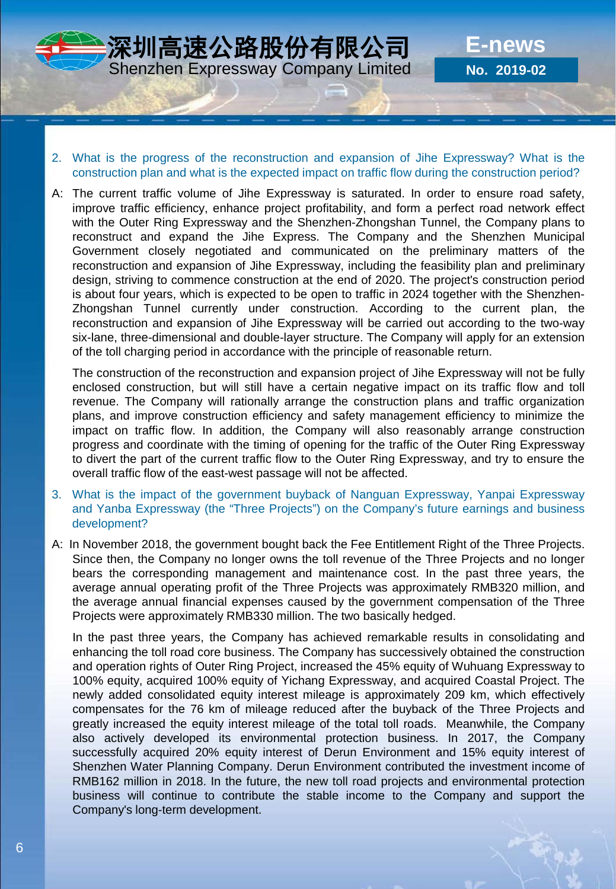

深圳高速公路股份有限公司 Shenzhen Expressway Company Limited

- 2. What is the progress of the reconstruction and expansion of Jihe Expressway? What is the construction plan and what is the expected impact on traffic flow during the construction period?
- A: The current traffic volume of Jihe Expressway is saturated. In order to ensure road safety, improve traffic efficiency, enhance project profitability, and form a perfect road network effect with the Outer Ring Expressway and the Shenzhen-Zhongshan Tunnel, the Company plans to reconstruct and expand the Jihe Express. The Company and the Shenzhen Municipal Government closely negotiated and communicated on the preliminary matters of the reconstruction and expansion of Jihe Expressway, including the feasibility plan and preliminary design, striving to commence construction at the end of 2020. The project's construction period is about four years, which is expected to be open to traffic in 2024 together with the Shenzhen-Zhongshan Tunnel currently under construction. According to the current plan, the reconstruction and expansion of Jihe Expressway will be carried out according to the two-way six-lane, three-dimensional and double-layer structure. The Company will apply for an extension of the toll charging period in accordance with the principle of reasonable return.

The construction of the reconstruction and expansion project of Jihe Expressway will not be fully enclosed construction, but will still have a certain negative impact on its traffic flow and toll revenue. The Company will rationally arrange the construction plans and traffic organization plans, and improve construction efficiency and safety management efficiency to minimize the impact on traffic flow. In addition, the Company will also reasonably arrange construction progress and coordinate with the timing of opening for the traffic of the Outer Ring Expressway to divert the part of the current traffic flow to the Outer Ring Expressway, and try to ensure the overall traffic flow of the east-west passage will not be affected.

- 3. What is the impact of the government buyback of Nanguan Expressway, Yanpai Expressway and Yanba Expressway (the "Three Projects") on the Company's future earnings and business development?
- A: In November 2018, the government bought back the Fee Entitlement Right of the Three Projects. Since then, the Company no longer owns the toll revenue of the Three Projects and no longer bears the corresponding management and maintenance cost. In the past three years, the average annual operating profit of the Three Projects was approximately RMB320 million, and the average annual financial expenses caused by the government compensation of the Three Projects were approximately RMB330 million. The two basically hedged.

In the past three years, the Company has achieved remarkable results in consolidating and enhancing the toll road core business. The Company has successively obtained the construction and operation rights of Outer Ring Project, increased the 45% equity of Wuhuang Expressway to 100% equity, acquired 100% equity of Yichang Expressway, and acquired Coastal Project. The newly added consolidated equity interest mileage is approximately 209 km, which effectively compensates for the 76 km of mileage reduced after the buyback of the Three Projects and greatly increased the equity interest mileage of the total toll roads. Meanwhile, the Company also actively developed its environmental protection business. In 2017, the Company successfully acquired 20% equity interest of Derun Environment and 15% equity interest of Shenzhen Water Planning Company. Derun Environment contributed the investment income of RMB162 million in 2018. In the future, the new toll road projects and environmental protection business will continue to contribute the stable income to the Company and support the Company's long-term development.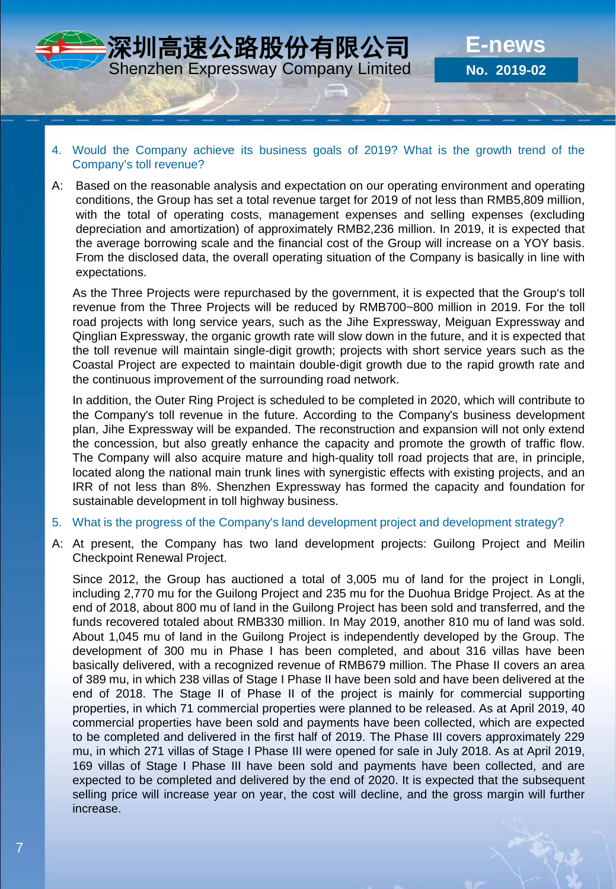

- 4. Would the Company achieve its business goals of 2019? What is the growth trend of the Company's toll revenue?
- A: Based on the reasonable analysis and expectation on our operating environment and operating conditions, the Group has set a total revenue target for 2019 of not less than RMB5,809 million, with the total of operating costs, management expenses and selling expenses (excluding depreciation and amortization) of approximately RMB2,236 million. In 2019, it is expected that the average borrowing scale and the financial cost of the Group will increase on a YOY basis. From the disclosed data, the overall operating situation of the Company is basically in line with expectations.

As the Three Projects were repurchased by the government, it is expected that the Group's toll revenue from the Three Projects will be reduced by RMB700~800 million in 2019. For the toll road projects with long service years, such as the Jihe Expressway, Meiguan Expressway and Qinglian Expressway, the organic growth rate will slow down in the future, and it is expected that the toll revenue will maintain single-digit growth; projects with short service years such as the Coastal Project are expected to maintain double-digit growth due to the rapid growth rate and the continuous improvement of the surrounding road network.

In addition, the Outer Ring Project is scheduled to be completed in 2020, which will contribute to the Company's toll revenue in the future. According to the Company's business development plan, Jihe Expressway will be expanded. The reconstruction and expansion will not only extend the concession, but also greatly enhance the capacity and promote the growth of traffic flow. The Company will also acquire mature and high-quality toll road projects that are, in principle, located along the national main trunk lines with synergistic effects with existing projects, and an IRR of not less than 8%. Shenzhen Expressway has formed the capacity and foundation for sustainable development in toll highway business.

- 5. What is the progress of the Company's land development project and development strategy?
- A: At present, the Company has two land development projects: Guilong Project and Meilin Checkpoint Renewal Project.

Since 2012, the Group has auctioned a total of 3,005 mu of land for the project in Longli, including 2,770 mu for the Guilong Project and 235 mu for the Duohua Bridge Project. As at the end of 2018, about 800 mu of land in the Guilong Project has been sold and transferred, and the funds recovered totaled about RMB330 million. In May 2019, another 810 mu of land was sold. About 1,045 mu of land in the Guilong Project is independently developed by the Group. The development of 300 mu in Phase I has been completed, and about 316 villas have been basically delivered, with a recognized revenue of RMB679 million. The Phase II covers an area of 389 mu, in which 238 villas of Stage I Phase II have been sold and have been delivered at the end of 2018. The Stage II of Phase II of the project is mainly for commercial supporting properties, in which 71 commercial properties were planned to be released. As at April 2019, 40 commercial properties have been sold and payments have been collected, which are expected to be completed and delivered in the first half of 2019. The Phase III covers approximately 229 mu, in which 271 villas of Stage I Phase III were opened for sale in July 2018. As at April 2019, 169 villas of Stage I Phase III have been sold and payments have been collected, and are expected to be completed and delivered by the end of 2020. It is expected that the subsequent selling price will increase year on year, the cost will decline, and the gross margin will further increase.